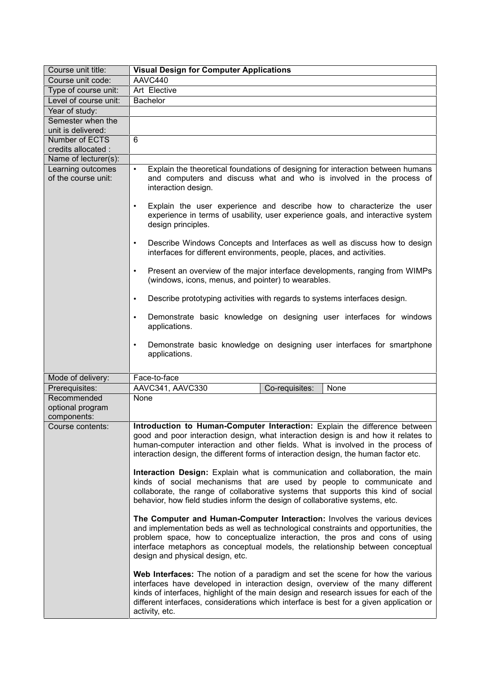| Course unit title:                             | <b>Visual Design for Computer Applications</b>                                                                                                                                                                                                                                                                                                                          |
|------------------------------------------------|-------------------------------------------------------------------------------------------------------------------------------------------------------------------------------------------------------------------------------------------------------------------------------------------------------------------------------------------------------------------------|
| Course unit code:                              | AAVC440                                                                                                                                                                                                                                                                                                                                                                 |
| Type of course unit:                           | Art Elective                                                                                                                                                                                                                                                                                                                                                            |
| Level of course unit:                          | Bachelor                                                                                                                                                                                                                                                                                                                                                                |
| Year of study:                                 |                                                                                                                                                                                                                                                                                                                                                                         |
| Semester when the                              |                                                                                                                                                                                                                                                                                                                                                                         |
| unit is delivered:                             |                                                                                                                                                                                                                                                                                                                                                                         |
| Number of ECTS                                 | 6                                                                                                                                                                                                                                                                                                                                                                       |
| credits allocated :<br>Name of lecturer(s):    |                                                                                                                                                                                                                                                                                                                                                                         |
| Learning outcomes                              | Explain the theoretical foundations of designing for interaction between humans<br>$\bullet$                                                                                                                                                                                                                                                                            |
| of the course unit:                            | and computers and discuss what and who is involved in the process of<br>interaction design.                                                                                                                                                                                                                                                                             |
|                                                | Explain the user experience and describe how to characterize the user<br>$\bullet$<br>experience in terms of usability, user experience goals, and interactive system<br>design principles.                                                                                                                                                                             |
|                                                | Describe Windows Concepts and Interfaces as well as discuss how to design<br>$\bullet$<br>interfaces for different environments, people, places, and activities.                                                                                                                                                                                                        |
|                                                | Present an overview of the major interface developments, ranging from WIMPs<br>$\bullet$<br>(windows, icons, menus, and pointer) to wearables.                                                                                                                                                                                                                          |
|                                                | Describe prototyping activities with regards to systems interfaces design.<br>$\bullet$                                                                                                                                                                                                                                                                                 |
|                                                | Demonstrate basic knowledge on designing user interfaces for windows<br>$\bullet$<br>applications.                                                                                                                                                                                                                                                                      |
|                                                | Demonstrate basic knowledge on designing user interfaces for smartphone<br>$\bullet$<br>applications.                                                                                                                                                                                                                                                                   |
| Mode of delivery:                              | Face-to-face                                                                                                                                                                                                                                                                                                                                                            |
| Prerequisites:                                 | AAVC341, AAVC330<br>Co-requisites:<br>None                                                                                                                                                                                                                                                                                                                              |
| Recommended<br>optional program<br>components: | None                                                                                                                                                                                                                                                                                                                                                                    |
| Course contents:                               | Introduction to Human-Computer Interaction: Explain the difference between<br>good and poor interaction design, what interaction design is and how it relates to<br>human-computer interaction and other fields. What is involved in the process of<br>interaction design, the different forms of interaction design, the human factor etc.                             |
|                                                | Interaction Design: Explain what is communication and collaboration, the main<br>kinds of social mechanisms that are used by people to communicate and<br>collaborate, the range of collaborative systems that supports this kind of social<br>behavior, how field studies inform the design of collaborative systems, etc.                                             |
|                                                | The Computer and Human-Computer Interaction: Involves the various devices<br>and implementation beds as well as technological constraints and opportunities, the<br>problem space, how to conceptualize interaction, the pros and cons of using<br>interface metaphors as conceptual models, the relationship between conceptual<br>design and physical design, etc.    |
|                                                | Web Interfaces: The notion of a paradigm and set the scene for how the various<br>interfaces have developed in interaction design, overview of the many different<br>kinds of interfaces, highlight of the main design and research issues for each of the<br>different interfaces, considerations which interface is best for a given application or<br>activity, etc. |